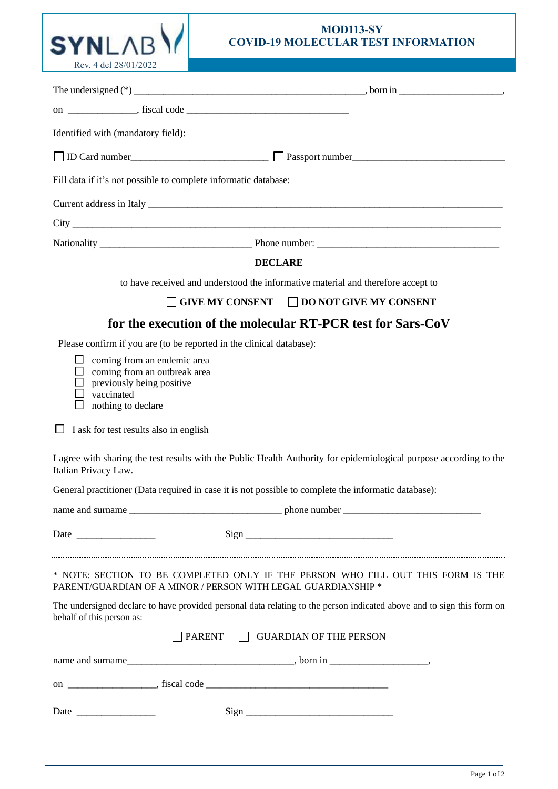## **MOD113-SY COVID-19 MOLECULAR TEST INFORMATION**

| Rev. 4 del 28/01/2022                                                                                                                       |                                                                                                                                                   |  |  |
|---------------------------------------------------------------------------------------------------------------------------------------------|---------------------------------------------------------------------------------------------------------------------------------------------------|--|--|
|                                                                                                                                             |                                                                                                                                                   |  |  |
|                                                                                                                                             |                                                                                                                                                   |  |  |
| Identified with (mandatory field):                                                                                                          |                                                                                                                                                   |  |  |
| □ ID Card number<br>□ Passport number<br>□ Passport number                                                                                  |                                                                                                                                                   |  |  |
| Fill data if it's not possible to complete informatic database:                                                                             |                                                                                                                                                   |  |  |
|                                                                                                                                             |                                                                                                                                                   |  |  |
|                                                                                                                                             |                                                                                                                                                   |  |  |
|                                                                                                                                             |                                                                                                                                                   |  |  |
|                                                                                                                                             | <b>DECLARE</b>                                                                                                                                    |  |  |
|                                                                                                                                             | to have received and understood the informative material and therefore accept to                                                                  |  |  |
|                                                                                                                                             | $\Box$ GIVE MY CONSENT $\Box$ DO NOT GIVE MY CONSENT                                                                                              |  |  |
|                                                                                                                                             | for the execution of the molecular RT-PCR test for Sars-CoV                                                                                       |  |  |
| Please confirm if you are (to be reported in the clinical database):                                                                        |                                                                                                                                                   |  |  |
| ப<br>coming from an endemic area<br>coming from an outbreak area<br>⊔<br>previously being positive<br>vaccinated<br>ப<br>nothing to declare |                                                                                                                                                   |  |  |
| I ask for test results also in english                                                                                                      |                                                                                                                                                   |  |  |
| Italian Privacy Law.                                                                                                                        | I agree with sharing the test results with the Public Health Authority for epidemiological purpose according to the                               |  |  |
|                                                                                                                                             | General practitioner (Data required in case it is not possible to complete the informatic database):                                              |  |  |
|                                                                                                                                             |                                                                                                                                                   |  |  |
|                                                                                                                                             |                                                                                                                                                   |  |  |
|                                                                                                                                             |                                                                                                                                                   |  |  |
|                                                                                                                                             | * NOTE: SECTION TO BE COMPLETED ONLY IF THE PERSON WHO FILL OUT THIS FORM IS THE<br>PARENT/GUARDIAN OF A MINOR / PERSON WITH LEGAL GUARDIANSHIP * |  |  |
| behalf of this person as:                                                                                                                   | The undersigned declare to have provided personal data relating to the person indicated above and to sign this form on                            |  |  |
|                                                                                                                                             | PARENT GUARDIAN OF THE PERSON                                                                                                                     |  |  |
|                                                                                                                                             |                                                                                                                                                   |  |  |
|                                                                                                                                             |                                                                                                                                                   |  |  |
|                                                                                                                                             |                                                                                                                                                   |  |  |

**SYNLAB**